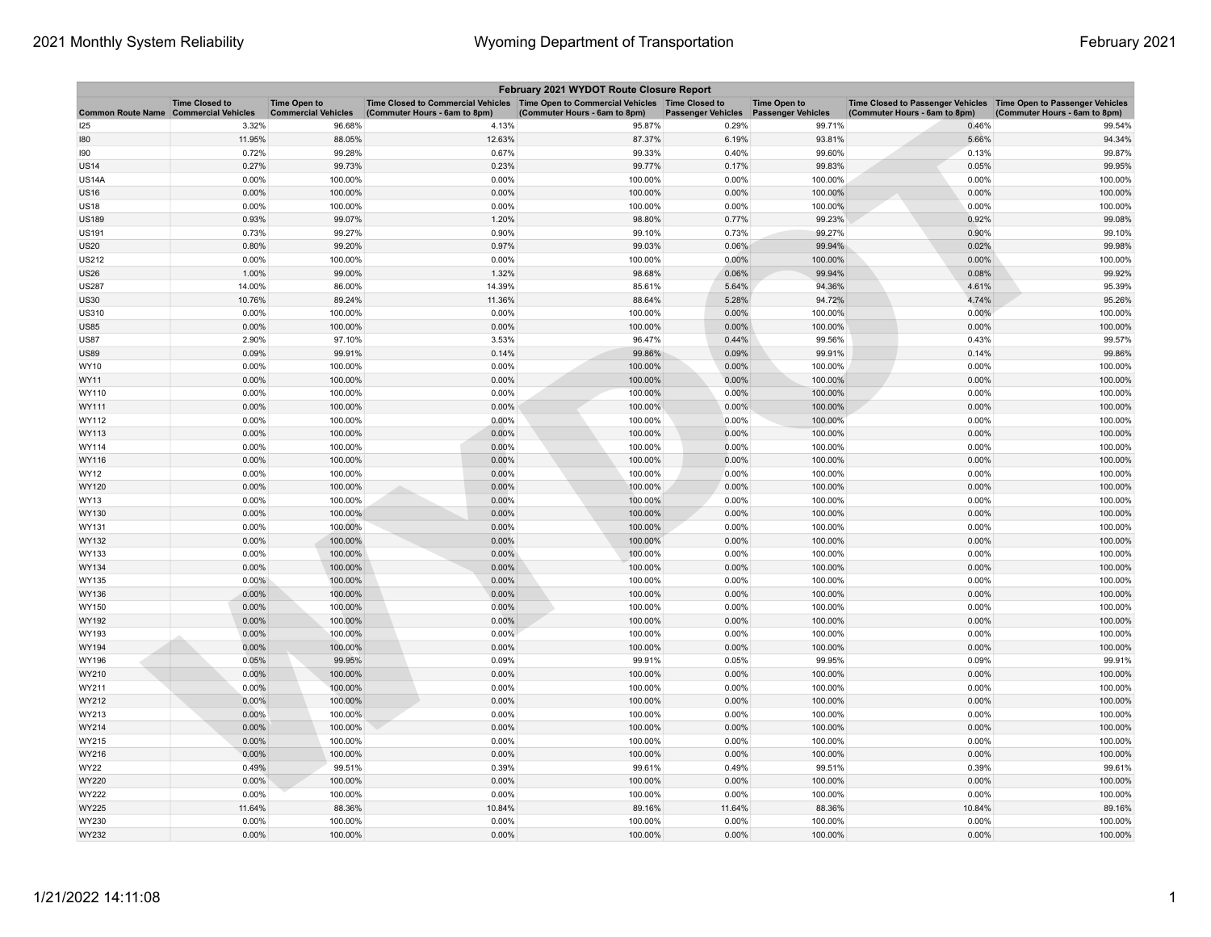| February 2021 WYDOT Route Closure Report |                                                     |                                                   |                                                                                                                         |                               |                                        |                     |                                                                                                      |                               |  |  |
|------------------------------------------|-----------------------------------------------------|---------------------------------------------------|-------------------------------------------------------------------------------------------------------------------------|-------------------------------|----------------------------------------|---------------------|------------------------------------------------------------------------------------------------------|-------------------------------|--|--|
| <b>Common Route Name</b>                 | <b>Time Closed to</b><br><b>Commercial Vehicles</b> | <b>Time Open to</b><br><b>Commercial Vehicles</b> | Time Closed to Commercial Vehicles   Time Open to Commercial Vehicles   Time Closed to<br>(Commuter Hours - 6am to 8pm) | (Commuter Hours - 6am to 8pm) | Passenger Vehicles  Passenger Vehicles | <b>Time Open to</b> | Time Closed to Passenger Vehicles   Time Open to Passenger Vehicles<br>(Commuter Hours - 6am to 8pm) | (Commuter Hours - 6am to 8pm) |  |  |
| 125                                      | 3.32%                                               | 96.68%                                            | 4.13%                                                                                                                   | 95.87%                        | 0.29%                                  | 99.71%              | 0.46%                                                                                                | 99.54%                        |  |  |
| 180                                      | 11.95%                                              | 88.05%                                            | 12.63%                                                                                                                  | 87.37%                        | 6.19%                                  | 93.81%              | 5.66%                                                                                                | 94.34%                        |  |  |
| 190                                      | 0.72%                                               | 99.28%                                            | 0.67%                                                                                                                   | 99.33%                        | 0.40%                                  | 99.60%              | 0.13%                                                                                                | 99.87%                        |  |  |
| <b>JS14</b>                              | 0.27%                                               | 99.73%                                            | 0.23%                                                                                                                   | 99.77%                        | 0.17%                                  | 99.83%              | 0.05%                                                                                                | 99.95%                        |  |  |
| US14A                                    | 0.00%                                               | 100.00%                                           | 0.00%                                                                                                                   | 100.00%                       | 0.00%                                  | 100.00%             | 0.00%                                                                                                | 100.00%                       |  |  |
| US16                                     | 0.00%                                               | 100.00%                                           | 0.00%                                                                                                                   | 100.00%                       | 0.00%                                  | 100.00%             | 0.00%                                                                                                | 100.00%                       |  |  |
| <b>US18</b>                              | 0.00%                                               | 100.00%                                           | 0.00%                                                                                                                   | 100.00%                       | 0.00%                                  | 100.00%             | 0.00%                                                                                                | 100.00%                       |  |  |
| <b>JS189</b>                             | 0.93%                                               | 99.07%                                            | 1.20%                                                                                                                   | 98.80%                        | 0.77%                                  | 99.23%              | 0.92%                                                                                                | 99.08%                        |  |  |
| US191                                    | 0.73%                                               | 99.27%                                            | 0.90%                                                                                                                   | 99.10%                        | 0.73%                                  | 99.27%              | 0.90%                                                                                                | 99.10%                        |  |  |
| <b>JS20</b>                              | 0.80%                                               | 99.20%                                            | 0.97%                                                                                                                   | 99.03%                        | 0.06%                                  | 99.94%              | 0.02%                                                                                                | 99.98%                        |  |  |
| US212                                    | 0.00%                                               | 100.00%                                           | 0.00%                                                                                                                   | 100.00%                       | 0.00%                                  | 100.00%             | 0.00%                                                                                                | 100.00%                       |  |  |
| US26                                     | 1.00%                                               | 99.00%                                            | 1.32%                                                                                                                   | 98.68%                        | 0.06%                                  | 99.94%              | 0.08%                                                                                                | 99.92%                        |  |  |
| <b>JS287</b>                             | 14.00%                                              | 86.00%                                            | 14.39%                                                                                                                  | 85.61%                        | 5.64%                                  | 94.36%              | 4.61%                                                                                                | 95.39%                        |  |  |
| <b>JS30</b>                              | 10.76%                                              | 89.24%                                            | 11.36%                                                                                                                  | 88.64%                        | 5.28%                                  | 94.72%              | 4.74%                                                                                                | 95.26%                        |  |  |
| <b>US310</b>                             | 0.00%                                               | 100.00%                                           | 0.00%                                                                                                                   | 100.00%                       | 0.00%                                  | 100.00%             | 0.00%                                                                                                | 100.00%                       |  |  |
| <b>JS85</b>                              | 0.00%                                               | 100.00%                                           | 0.00%                                                                                                                   | 100.00%                       | 0.00%                                  | 100.00%             | 0.00%                                                                                                | 100.00%                       |  |  |
| US87                                     | 2.90%                                               | 97.10%                                            | 3.53%                                                                                                                   | 96.47%                        | 0.44%                                  | 99.56%              | 0.43%                                                                                                | 99.57%                        |  |  |
| <b>JS89</b>                              | 0.09%                                               | 99.91%                                            | 0.14%                                                                                                                   | 99.86%                        | 0.09%                                  | 99.91%              | 0.14%                                                                                                | 99.86%                        |  |  |
| WY10                                     | 0.00%                                               | 100.00%                                           | 0.00%                                                                                                                   | 100.00%                       | 0.00%                                  | 100.00%             | 0.00%                                                                                                | 100.00%                       |  |  |
| WY11                                     | 0.00%                                               | 100.00%                                           | 0.00%                                                                                                                   | 100.00%                       | 0.00%                                  | 100.00%             | 0.00%                                                                                                | 100.00%                       |  |  |
| WY110                                    | 0.00%                                               | 100.00%                                           | 0.00%                                                                                                                   | 100.00%                       | 0.00%                                  | 100.00%             | 0.00%                                                                                                | 100.00%                       |  |  |
| WY111                                    | 0.00%                                               | 100.00%                                           | 0.00%                                                                                                                   | 100.00%                       | $0.00\%$                               | 100.00%             | 0.00%                                                                                                | 100.00%                       |  |  |
| WY112                                    | 0.00%                                               | 100.00%                                           | 0.00%                                                                                                                   | 100.00%                       | 0.00%                                  | 100.00%             | 0.00%                                                                                                | 100.00%                       |  |  |
| WY113                                    | 0.00%                                               | 100.00%                                           | 0.00%                                                                                                                   | 100.00%                       | 0.00%                                  | 100.00%             | 0.00%                                                                                                | 100.00%                       |  |  |
| WY114                                    | 0.00%                                               | 100.00%                                           | 0.00%                                                                                                                   | 100.00%                       | 0.00%                                  | 100.00%             | 0.00%                                                                                                | 100.00%                       |  |  |
| WY116                                    | 0.00%                                               | 100.00%                                           | 0.00%                                                                                                                   | 100.00%                       | 0.00%                                  | 100.00%             | 0.00%                                                                                                | 100.00%                       |  |  |
| WY12                                     | 0.00%                                               | 100.00%                                           | 0.00%                                                                                                                   | 100.00%                       | 0.00%                                  | 100.00%             | 0.00%                                                                                                | 100.00%                       |  |  |
| WY120                                    | 0.00%                                               | 100.00%                                           | 0.00%                                                                                                                   | 100.00%                       | 0.00%                                  | 100.00%             | 0.00%                                                                                                | 100.00%                       |  |  |
| WY13                                     | 0.00%                                               | 100.00%                                           | 0.00%                                                                                                                   | 100.00%                       | 0.00%                                  | 100.00%             | 0.00%                                                                                                | 100.00%                       |  |  |
| WY130                                    | 0.00%                                               | 100.00%                                           | 0.00%                                                                                                                   | 100.00%                       | 0.00%                                  | 100.00%             | 0.00%                                                                                                | 100.00%                       |  |  |
| WY131                                    | 0.00%                                               | 100.00%                                           | 0.00%                                                                                                                   | 100.00%                       | 0.00%                                  | 100.00%             | 0.00%                                                                                                | 100.00%                       |  |  |
| WY132                                    | 0.00%                                               | 100.00%                                           | 0.00%                                                                                                                   | 100.00%                       | 0.00%                                  | 100.00%             | 0.00%                                                                                                | 100.00%                       |  |  |
| WY133                                    | 0.00%                                               | 100.00%                                           | 0.00%                                                                                                                   | 100.00%                       | 0.00%                                  | 100.00%             | 0.00%                                                                                                | 100.00%                       |  |  |
| WY134                                    | 0.00%                                               | 100.00%                                           | 0.00%                                                                                                                   | 100.00%                       | 0.00%                                  | 100.00%             | 0.00%                                                                                                | 100.00%                       |  |  |
| WY135                                    | 0.00%                                               | 100.00%                                           | 0.00%                                                                                                                   | 100.00%                       | 0.00%                                  | 100.00%             | 0.00%                                                                                                | 100.00%                       |  |  |
| WY136                                    | 0.00%                                               | 100.00%                                           | 0.00%                                                                                                                   | 100.00%                       | 0.00%                                  | 100.00%             | 0.00%                                                                                                | 100.00%                       |  |  |
| WY150                                    | 0.00%                                               | 100.00%                                           | 0.00%                                                                                                                   | 100.00%                       | 0.00%                                  | 100.00%             | 0.00%                                                                                                | 100.00%                       |  |  |
| WY192                                    | 0.00%                                               | 100.00%                                           | 0.00%                                                                                                                   | 100.00%                       | 0.00%                                  | 100.00%             | 0.00%                                                                                                | 100.00%                       |  |  |
| WY193                                    | 0.00%                                               | 100.00%                                           | 0.00%                                                                                                                   | 100.00%                       | 0.00%                                  | 100.00%             | 0.00%                                                                                                | 100.00%                       |  |  |
| WY194                                    | 0.00%                                               | 100.00%                                           | 0.00%                                                                                                                   | 100.00%                       | 0.00%                                  | 100.00%             | 0.00%                                                                                                | 100.00%                       |  |  |
| WY196                                    | 0.05%                                               | 99.95%                                            | 0.09%                                                                                                                   | 99.91%                        | 0.05%                                  | 99.95%              | 0.09%                                                                                                | 99.91%                        |  |  |
| WY210                                    | 0.00%                                               | 100.00%                                           | 0.00%                                                                                                                   | 100.00%                       | 0.00%                                  | 100.00%             | 0.00%                                                                                                | 100.00%                       |  |  |
| WY211                                    | 0.00%                                               | 100.00%                                           | 0.00%                                                                                                                   | 100.00%                       | 0.00%                                  | 100.00%             | 0.00%                                                                                                | 100.00%                       |  |  |
| WY212                                    | 0.00%                                               | 100.00%                                           | 0.00%                                                                                                                   | 100.00%                       | 0.00%                                  | 100.00%             | 0.00%                                                                                                | 100.00%                       |  |  |
| WY213                                    | 0.00%                                               | 100.00%                                           | 0.00%                                                                                                                   | 100.00%                       | 0.00%                                  | 100.00%             | 0.00%                                                                                                | 100.00%                       |  |  |
| WY214                                    | 0.00%                                               | 100.00%                                           | 0.00%                                                                                                                   | 100.00%                       | 0.00%                                  | 100.00%             | 0.00%                                                                                                | 100.00%                       |  |  |
| WY215                                    | 0.00%                                               | 100.00%                                           | 0.00%                                                                                                                   | 100.00%                       | 0.00%                                  | 100.00%             | 0.00%                                                                                                | 100.00%                       |  |  |
| WY216                                    | 0.00%                                               | 100.00%                                           | 0.00%                                                                                                                   | 100.00%                       | 0.00%                                  | 100.00%             | 0.00%                                                                                                | 100.00%                       |  |  |
| WY22                                     | 0.49%                                               | 99.51%                                            | 0.39%                                                                                                                   | 99.61%                        | 0.49%                                  | 99.51%              | 0.39%                                                                                                | 99.61%                        |  |  |
| WY220                                    | $0.00\%$                                            | 100.00%                                           | 0.00%                                                                                                                   | 100.00%                       | $0.00\%$                               | 100.00%             | 0.00%                                                                                                | 100.00%                       |  |  |
| WY222                                    | 0.00%                                               | 100.00%                                           | 0.00%                                                                                                                   | 100.00%                       | 0.00%                                  | 100.00%             | 0.00%                                                                                                | 100.00%                       |  |  |
| WY225                                    | 11.64%                                              | 88.36%                                            | 10.84%                                                                                                                  | 89.16%                        | 11.64%                                 | 88.36%              | 10.84%                                                                                               | 89.16%                        |  |  |
| WY230                                    | 0.00%                                               | 100.00%                                           | 0.00%                                                                                                                   | 100.00%                       | 0.00%                                  | 100.00%             | 0.00%                                                                                                | 100.00%                       |  |  |
| WY232                                    | 0.00%                                               | 100.00%                                           | 0.00%                                                                                                                   | 100.00%                       | 0.00%                                  | 100.00%             | 0.00%                                                                                                | 100.00%                       |  |  |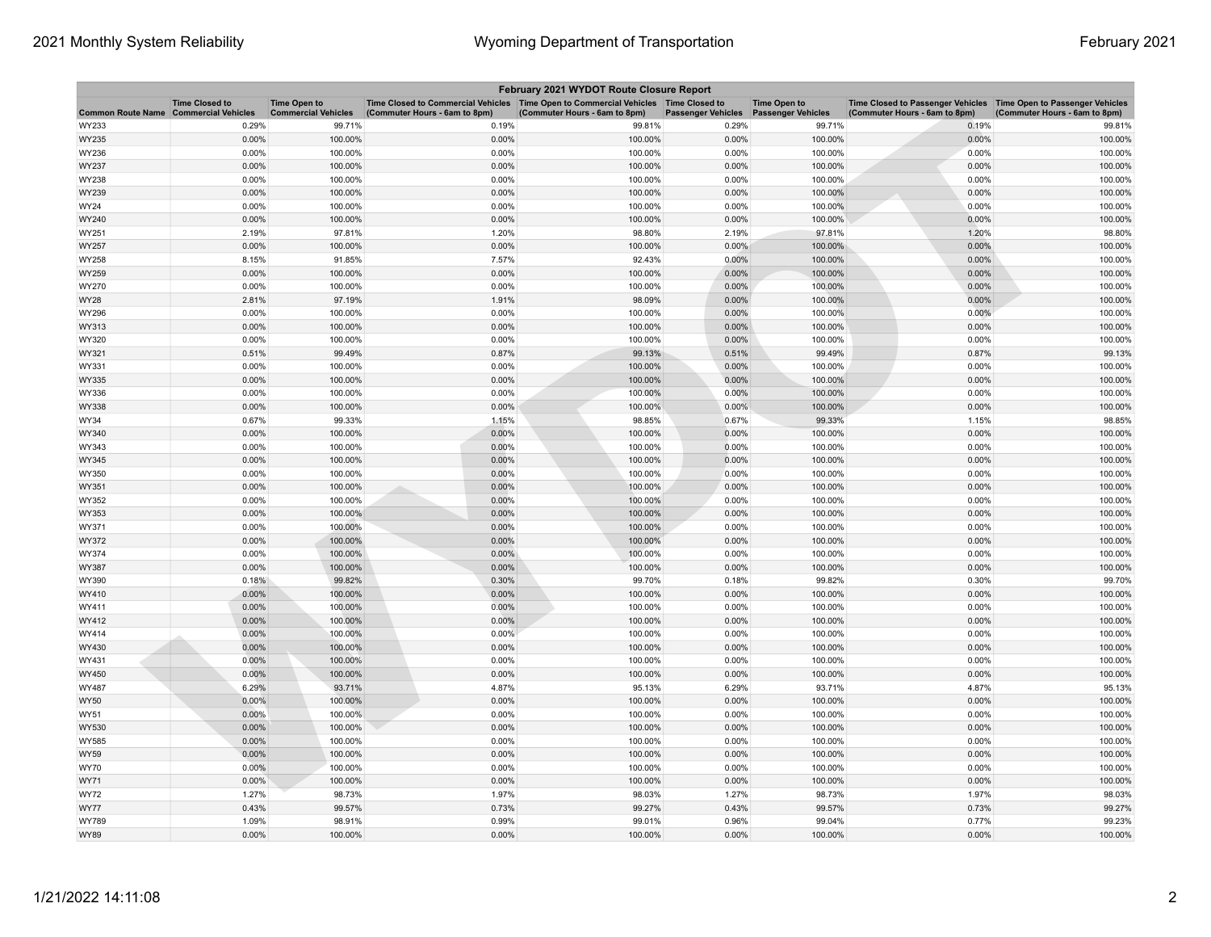| February 2021 WYDOT Route Closure Report     |                       |                                                   |                                                                                                                       |                               |                                        |                     |                                                                                                    |                               |  |
|----------------------------------------------|-----------------------|---------------------------------------------------|-----------------------------------------------------------------------------------------------------------------------|-------------------------------|----------------------------------------|---------------------|----------------------------------------------------------------------------------------------------|-------------------------------|--|
| <b>Common Route Name Commercial Vehicles</b> | <b>Time Closed to</b> | <b>Time Open to</b><br><b>Commercial Vehicles</b> | Time Closed to Commercial Vehicles  Time Open to Commercial Vehicles  Time Closed to<br>(Commuter Hours - 6am to 8pm) | (Commuter Hours - 6am to 8pm) | Passenger Vehicles  Passenger Vehicles | <b>Time Open to</b> | Time Closed to Passenger Vehicles Time Open to Passenger Vehicles<br>(Commuter Hours - 6am to 8pm) | (Commuter Hours - 6am to 8pm) |  |
| WY233                                        | 0.29%                 | 99.71%                                            | 0.19%                                                                                                                 | 99.81%                        | 0.29%                                  | 99.71%              | 0.19%                                                                                              | 99.81%                        |  |
| WY235                                        | 0.00%                 | 100.00%                                           | 0.00%                                                                                                                 | 100.00%                       | 0.00%                                  | 100.00%             | 0.00%                                                                                              | 100.00%                       |  |
| WY236                                        | 0.00%                 | 100.00%                                           | 0.00%                                                                                                                 | 100.00%                       | 0.00%                                  | 100.00%             | 0.00%                                                                                              | 100.00%                       |  |
| WY237                                        | 0.00%                 | 100.00%                                           | 0.00%                                                                                                                 | 100.00%                       | 0.00%                                  | 100.00%             | 0.00%                                                                                              | 100.00%                       |  |
| WY238                                        | 0.00%                 | 100.00%                                           | 0.00%                                                                                                                 | 100.00%                       | 0.00%                                  | 100.00%             | 0.00%                                                                                              | 100.00%                       |  |
| WY239                                        | 0.00%                 | 100.00%                                           | 0.00%                                                                                                                 | 100.00%                       | 0.00%                                  | 100.00%             | 0.00%                                                                                              | 100.00%                       |  |
| WY24                                         | 0.00%                 | 100.00%                                           | 0.00%                                                                                                                 | 100.00%                       | 0.00%                                  | 100.00%             | 0.00%                                                                                              | 100.00%                       |  |
| WY240                                        | 0.00%                 | 100.00%                                           | 0.00%                                                                                                                 | 100.00%                       | 0.00%                                  | 100.00%             | 0.00%                                                                                              | 100.00%                       |  |
| WY251                                        | 2.19%                 | 97.81%                                            | 1.20%                                                                                                                 | 98.80%                        | 2.19%                                  | 97.81%              | 1.20%                                                                                              | 98.80%                        |  |
| WY257                                        | 0.00%                 | 100.00%                                           | 0.00%                                                                                                                 | 100.00%                       | 0.00%                                  | 100.00%             | 0.00%                                                                                              | 100.00%                       |  |
| WY258                                        | 8.15%                 | 91.85%                                            | 7.57%                                                                                                                 | 92.43%                        | 0.00%                                  | 100.00%             | 0.00%                                                                                              | 100.00%                       |  |
| WY259                                        | 0.00%                 | 100.00%                                           | 0.00%                                                                                                                 | 100.00%                       | 0.00%                                  | 100.00%             | 0.00%                                                                                              | 100.00%                       |  |
| WY270                                        | 0.00%                 | 100.00%                                           | 0.00%                                                                                                                 | 100.00%                       | 0.00%                                  | 100.00%             | 0.00%                                                                                              | 100.00%                       |  |
| WY28                                         | 2.81%                 | 97.19%                                            | 1.91%                                                                                                                 | 98.09%                        | 0.00%                                  | 100.00%             | 0.00%                                                                                              | 100.00%                       |  |
| WY296                                        | 0.00%                 | 100.00%                                           | 0.00%                                                                                                                 | 100.00%                       | 0.00%                                  | 100.00%             | 0.00%                                                                                              | 100.00%                       |  |
| WY313                                        | 0.00%                 | 100.00%                                           | 0.00%                                                                                                                 | 100.00%                       | 0.00%                                  | 100.00%             | 0.00%                                                                                              | 100.00%                       |  |
| WY320                                        | 0.00%                 | 100.00%                                           | 0.00%                                                                                                                 | 100.00%                       | 0.00%                                  | 100.00%             | 0.00%                                                                                              | 100.00%                       |  |
| WY321                                        | 0.51%                 | 99.49%                                            | 0.87%                                                                                                                 | 99.13%                        | 0.51%                                  | 99.49%              | 0.87%                                                                                              | 99.13%                        |  |
| WY331                                        | 0.00%                 | 100.00%                                           | 0.00%                                                                                                                 | 100.00%                       | 0.00%                                  | 100.00%             | 0.00%                                                                                              | 100.00%                       |  |
| WY335                                        | 0.00%                 | 100.00%                                           | 0.00%                                                                                                                 | 100.00%                       | 0.00%                                  | 100.00%             | 0.00%                                                                                              | 100.00%                       |  |
| WY336                                        | 0.00%                 | 100.00%                                           | 0.00%                                                                                                                 | 100.00%                       | 0.00%                                  | 100.00%             | 0.00%                                                                                              | 100.00%                       |  |
| WY338                                        | 0.00%                 | 100.00%                                           | 0.00%                                                                                                                 | 100.00%                       | 0.00%                                  | 100.00%             | 0.00%                                                                                              | 100.00%                       |  |
| <b>WY34</b>                                  | 0.67%                 | 99.33%                                            | 1.15%                                                                                                                 | 98.85%                        | 0.67%                                  | 99.33%              | 1.15%                                                                                              | 98.85%                        |  |
| WY340                                        | 0.00%                 | 100.00%                                           | 0.00%                                                                                                                 | 100.00%                       | 0.00%                                  | 100.00%             | 0.00%                                                                                              | 100.00%                       |  |
| WY343                                        | 0.00%                 | 100.00%                                           | 0.00%                                                                                                                 | 100.00%                       | 0.00%                                  | 100.00%             | 0.00%                                                                                              | 100.00%                       |  |
| WY345                                        | 0.00%                 | 100.00%                                           | 0.00%                                                                                                                 | 100.00%                       | 0.00%                                  | 100.00%             | 0.00%                                                                                              | 100.00%                       |  |
| WY350                                        | 0.00%                 | 100.00%                                           | 0.00%                                                                                                                 | 100.00%                       | 0.00%                                  | 100.00%             | 0.00%                                                                                              | 100.00%                       |  |
| WY351                                        | 0.00%                 | 100.00%                                           | 0.00%                                                                                                                 | 100.00%                       | 0.00%                                  | 100.00%             | 0.00%                                                                                              | 100.00%                       |  |
| WY352                                        | 0.00%                 | 100.00%                                           | 0.00%                                                                                                                 | 100.00%                       | 0.00%                                  | 100.00%             | 0.00%                                                                                              | 100.00%                       |  |
| WY353                                        | 0.00%                 | 100.00%                                           | 0.00%                                                                                                                 | 100.00%                       | 0.00%                                  | 100.00%             | 0.00%                                                                                              | 100.00%                       |  |
| WY371                                        | 0.00%                 | 100.00%                                           | 0.00%                                                                                                                 | 100.00%                       | 0.00%                                  | 100.00%             | 0.00%                                                                                              | 100.00%                       |  |
| WY372                                        | 0.00%                 | 100.00%                                           | 0.00%                                                                                                                 | 100.00%                       | 0.00%                                  | 100.00%             | 0.00%                                                                                              | 100.00%                       |  |
| WY374                                        | 0.00%                 | 100.00%                                           | 0.00%                                                                                                                 | 100.00%                       | 0.00%                                  | 100.00%             | 0.00%                                                                                              | 100.00%                       |  |
| WY387                                        | 0.00%                 | 100.00%                                           | 0.00%                                                                                                                 | 100.00%                       | 0.00%                                  | 100.00%             | 0.00%                                                                                              | 100.00%                       |  |
| WY390                                        | 0.18%                 | 99.82%                                            | 0.30%                                                                                                                 | 99.70%                        | 0.18%                                  | 99.82%              | 0.30%                                                                                              | 99.70%                        |  |
| WY410                                        | 0.00%                 | 100.00%                                           | 0.00%                                                                                                                 | 100.00%                       | 0.00%                                  | 100.00%             | 0.00%                                                                                              | 100.00%                       |  |
| WY411                                        | 0.00%                 | 100.00%                                           | 0.00%                                                                                                                 | 100.00%                       | 0.00%                                  | 100.00%             | 0.00%                                                                                              | 100.00%                       |  |
| WY412                                        | 0.00%                 | 100.00%                                           | 0.00%                                                                                                                 | 100.00%                       | 0.00%                                  | 100.00%             | 0.00%                                                                                              | 100.00%                       |  |
| WY414                                        | 0.00%                 | 100.00%                                           | 0.00%                                                                                                                 | 100.00%                       | 0.00%                                  | 100.00%             | 0.00%                                                                                              | 100.00%                       |  |
| WY430                                        | 0.00%                 | 100.00%                                           | 0.00%                                                                                                                 | 100.00%                       | 0.00%                                  | 100.00%             | 0.00%                                                                                              | 100.00%                       |  |
| WY431                                        | 0.00%                 | 100.00%                                           | 0.00%                                                                                                                 | 100.00%                       | 0.00%                                  | 100.00%             | 0.00%                                                                                              | 100.00%                       |  |
| WY450                                        | 0.00%                 | 100.00%                                           | 0.00%                                                                                                                 | 100.00%                       | 0.00%                                  | 100.00%             | 0.00%                                                                                              | 100.00%                       |  |
| WY487                                        | 6.29%                 | 93.71%                                            | 4.87%                                                                                                                 | 95.13%                        | 6.29%                                  | 93.71%              | 4.87%                                                                                              | 95.13%                        |  |
| <b>WY50</b>                                  | 0.00%                 | 100.00%                                           | 0.00%                                                                                                                 | 100.00%                       | 0.00%                                  | 100.00%             | 0.00%                                                                                              | 100.00%                       |  |
| <b>WY51</b>                                  | 0.00%                 | 100.00%                                           | 0.00%                                                                                                                 | 100.00%                       | 0.00%                                  | 100.00%             | 0.00%                                                                                              | 100.00%                       |  |
| WY530                                        | 0.00%                 | 100.00%                                           | 0.00%                                                                                                                 | 100.00%                       | 0.00%                                  | 100.00%             | 0.00%                                                                                              | 100.00%                       |  |
| WY585                                        | 0.00%                 | 100.00%                                           | 0.00%                                                                                                                 | 100.00%                       | 0.00%                                  | 100.00%             | 0.00%                                                                                              | 100.00%                       |  |
| WY59                                         | 0.00%                 | 100.00%                                           | 0.00%                                                                                                                 | 100.00%                       | 0.00%                                  | 100.00%             | 0.00%                                                                                              | 100.00%                       |  |
| <b>WY70</b>                                  | 0.00%                 | 100.00%                                           | 0.00%                                                                                                                 | 100.00%                       | 0.00%                                  | 100.00%             | 0.00%                                                                                              | 100.00%                       |  |
| WY71                                         | 0.00%                 | 100.00%                                           | 0.00%                                                                                                                 | 100.00%                       | 0.00%                                  | 100.00%             | 0.00%                                                                                              | 100.00%                       |  |
| WY72                                         | 1.27%                 | 98.73%                                            | 1.97%                                                                                                                 | 98.03%                        | 1.27%                                  | 98.73%              | 1.97%                                                                                              | 98.03%                        |  |
| <b>WY77</b>                                  | 0.43%                 | 99.57%                                            | 0.73%                                                                                                                 | 99.27%                        | 0.43%                                  | 99.57%              | 0.73%                                                                                              | 99.27%                        |  |
| <b>WY789</b>                                 | 1.09%                 | 98.91%                                            | 0.99%                                                                                                                 | 99.01%                        | 0.96%                                  | 99.04%              | 0.77%                                                                                              | 99.23%                        |  |
| WY89                                         | 0.00%                 | 100.00%                                           | 0.00%                                                                                                                 | 100.00%                       | 0.00%                                  | 100.00%             | 0.00%                                                                                              | 100.00%                       |  |